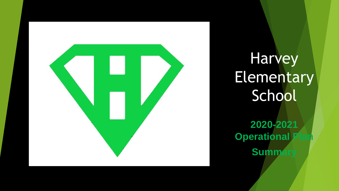

**Harvey Elementary** School **2020-2021 Operational P** 

**Summ**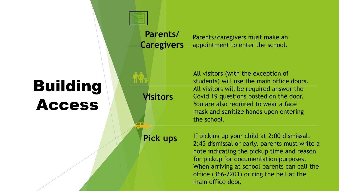## Building Access **Visitors**

 $\sqrt{2}$ 

**Parents/ Caregivers**

Parents/caregivers must make an appointment to enter the school.

All visitors (with the exception of students) will use the main office doors. All visitors will be required answer the Covid 19 questions posted on the door. You are also required to wear a face mask and sanitize hands upon entering the school.

#### **Pick ups**

If picking up your child at 2:00 dismissal, 2:45 dismissal or early, parents must write a note indicating the pickup time and reason for pickup for documentation purposes. When arriving at school parents can call the office (366-2201) or ring the bell at the main office door.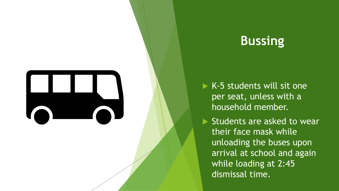

### **Bussing**

- $\triangleright$  K-5 students will sit one per seat, unless with a household member.
- Students are asked to wear their face mask while unloading the buses upon arrival at school and again while loading at 2:45 dismissal time.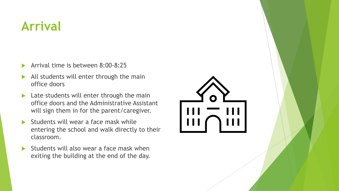### **Arrival**

- Arrival time is between 8:00-8:25
- All students will enter through the main office doors
- $\blacktriangleright$  Late students will enter through the main office doors and the Administrative Assistant will sign them in for the parent/caregiver.
- Students will wear a face mask while entering the school and walk directly to their classroom.
- Students will also wear a face mask when exiting the building at the end of the day.

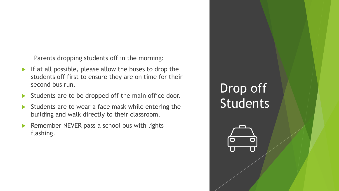Parents dropping students off in the morning:

- If at all possible, please allow the buses to drop the students off first to ensure they are on time for their second bus run.
- $\blacktriangleright$  Students are to be dropped off the main office door.
- Students are to wear a face mask while entering the building and walk directly to their classroom.
- Remember NEVER pass a school bus with lights flashing.

### Drop off **Students**

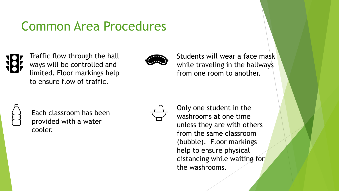### Common Area Procedures



Traffic flow through the hall ways will be controlled and limited. Floor markings help to ensure flow of traffic.



Students will wear a face mask while traveling in the hallways from one room to another.



Each classroom has been provided with a water cooler.



Only one student in the washrooms at one time unless they are with others from the same classroom (bubble). Floor markings help to ensure physical distancing while waiting for the washrooms.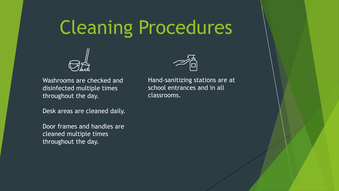# Cleaning Procedures



Washrooms are checked and disinfected multiple times throughout the day.

Desk areas are cleaned daily.

Door frames and handles are cleaned multiple times throughout the day.



Hand-sanitizing stations are at school entrances and in all classrooms.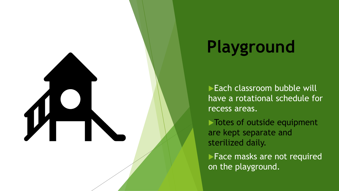

# **Playground**

Each classroom bubble will have a rotational schedule for recess areas.

Totes of outside equipment are kept separate and sterilized daily.

**Face masks are not required** on the playground.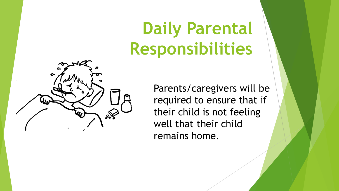# **Daily Parental Responsibilities**



Parents/caregivers will be required to ensure that if their child is not feeling well that their child remains home.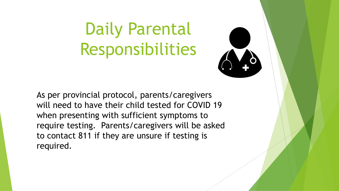# Daily Parental Responsibilities



As per provincial protocol, parents/caregivers will need to have their child tested for COVID 19 when presenting with sufficient symptoms to require testing. Parents/caregivers will be asked to contact 811 if they are unsure if testing is required.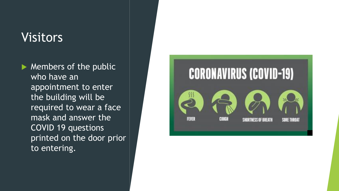### **Visitors**

 $\blacktriangleright$  Members of the public who have an appointment to enter the building will be required to wear a face mask and answer the COVID 19 questions printed on the door prior to entering.

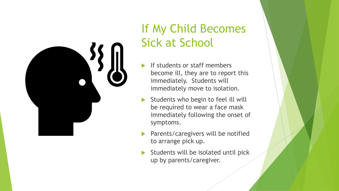

### If My Child Becomes Sick at School

- If students or staff members become ill, they are to report this immediately. Students will immediately move to isolation.
- Students who begin to feel ill will be required to wear a face mask immediately following the onset of symptoms.
- **Parents/caregivers will be notified** to arrange pick up.
- $\blacktriangleright$  Students will be isolated until pick up by parents/caregiver.